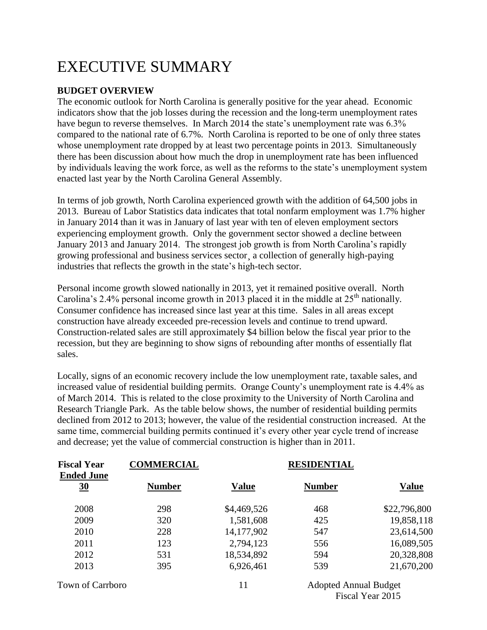# EXECUTIVE SUMMARY

### **BUDGET OVERVIEW**

The economic outlook for North Carolina is generally positive for the year ahead. Economic indicators show that the job losses during the recession and the long-term unemployment rates have begun to reverse themselves. In March 2014 the state's unemployment rate was 6.3% compared to the national rate of 6.7%. North Carolina is reported to be one of only three states whose unemployment rate dropped by at least two percentage points in 2013. Simultaneously there has been discussion about how much the drop in unemployment rate has been influenced by individuals leaving the work force, as well as the reforms to the state's unemployment system enacted last year by the North Carolina General Assembly.

In terms of job growth, North Carolina experienced growth with the addition of 64,500 jobs in 2013. Bureau of Labor Statistics data indicates that total nonfarm employment was 1.7% higher in January 2014 than it was in January of last year with ten of eleven employment sectors experiencing employment growth. Only the government sector showed a decline between January 2013 and January 2014. The strongest job growth is from North Carolina's rapidly growing professional and business services sector¸ a collection of generally high-paying industries that reflects the growth in the state's high-tech sector.

Personal income growth slowed nationally in 2013, yet it remained positive overall. North Carolina's 2.4% personal income growth in 2013 placed it in the middle at  $25<sup>th</sup>$  nationally. Consumer confidence has increased since last year at this time. Sales in all areas except construction have already exceeded pre-recession levels and continue to trend upward. Construction-related sales are still approximately \$4 billion below the fiscal year prior to the recession, but they are beginning to show signs of rebounding after months of essentially flat sales.

Locally, signs of an economic recovery include the low unemployment rate, taxable sales, and increased value of residential building permits. Orange County's unemployment rate is 4.4% as of March 2014. This is related to the close proximity to the University of North Carolina and Research Triangle Park. As the table below shows, the number of residential building permits declined from 2012 to 2013; however, the value of the residential construction increased. At the same time, commercial building permits continued it's every other year cycle trend of increase and decrease; yet the value of commercial construction is higher than in 2011.

| <b>Fiscal Year</b><br><b>Ended June</b> | <b>COMMERCIAL</b> |              | <b>RESIDENTIAL</b> |              |
|-----------------------------------------|-------------------|--------------|--------------------|--------------|
| 30                                      | <b>Number</b>     | <b>Value</b> | <b>Number</b>      | <b>Value</b> |
| 2008                                    | 298               | \$4,469,526  | 468                | \$22,796,800 |
| 2009                                    | 320               | 1,581,608    | 425                | 19,858,118   |
| 2010                                    | 228               | 14,177,902   | 547                | 23,614,500   |
| 2011                                    | 123               | 2,794,123    | 556                | 16,089,505   |
| 2012                                    | 531               | 18,534,892   | 594                | 20,328,808   |
| 2013                                    | 395               | 6,926,461    | 539                | 21,670,200   |

Town of Carrboro 11 Adopted Annual Budget Fiscal Year 2015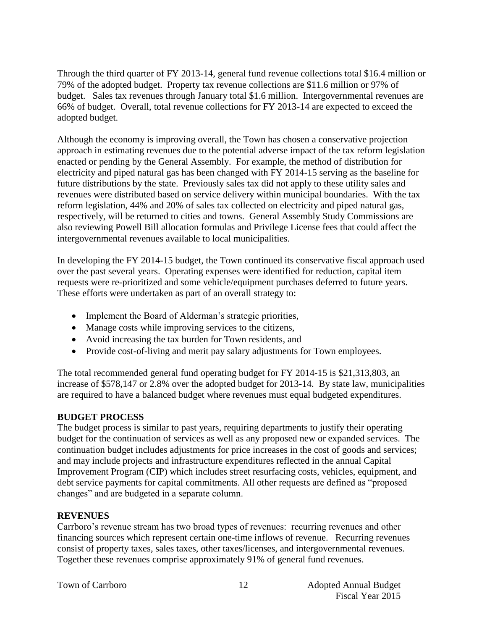Through the third quarter of FY 2013-14, general fund revenue collections total \$16.4 million or 79% of the adopted budget. Property tax revenue collections are \$11.6 million or 97% of budget. Sales tax revenues through January total \$1.6 million. Intergovernmental revenues are 66% of budget. Overall, total revenue collections for FY 2013-14 are expected to exceed the adopted budget.

Although the economy is improving overall, the Town has chosen a conservative projection approach in estimating revenues due to the potential adverse impact of the tax reform legislation enacted or pending by the General Assembly. For example, the method of distribution for electricity and piped natural gas has been changed with FY 2014-15 serving as the baseline for future distributions by the state. Previously sales tax did not apply to these utility sales and revenues were distributed based on service delivery within municipal boundaries. With the tax reform legislation, 44% and 20% of sales tax collected on electricity and piped natural gas, respectively, will be returned to cities and towns. General Assembly Study Commissions are also reviewing Powell Bill allocation formulas and Privilege License fees that could affect the intergovernmental revenues available to local municipalities.

In developing the FY 2014-15 budget, the Town continued its conservative fiscal approach used over the past several years. Operating expenses were identified for reduction, capital item requests were re-prioritized and some vehicle/equipment purchases deferred to future years. These efforts were undertaken as part of an overall strategy to:

- Implement the Board of Alderman's strategic priorities,
- Manage costs while improving services to the citizens,
- Avoid increasing the tax burden for Town residents, and
- Provide cost-of-living and merit pay salary adjustments for Town employees.

The total recommended general fund operating budget for FY 2014-15 is \$21,313,803, an increase of \$578,147 or 2.8% over the adopted budget for 2013-14. By state law, municipalities are required to have a balanced budget where revenues must equal budgeted expenditures.

#### **BUDGET PROCESS**

The budget process is similar to past years, requiring departments to justify their operating budget for the continuation of services as well as any proposed new or expanded services. The continuation budget includes adjustments for price increases in the cost of goods and services; and may include projects and infrastructure expenditures reflected in the annual Capital Improvement Program (CIP) which includes street resurfacing costs, vehicles, equipment, and debt service payments for capital commitments. All other requests are defined as "proposed changes" and are budgeted in a separate column.

#### **REVENUES**

Carrboro's revenue stream has two broad types of revenues: recurring revenues and other financing sources which represent certain one-time inflows of revenue. Recurring revenues consist of property taxes, sales taxes, other taxes/licenses, and intergovernmental revenues. Together these revenues comprise approximately 91% of general fund revenues.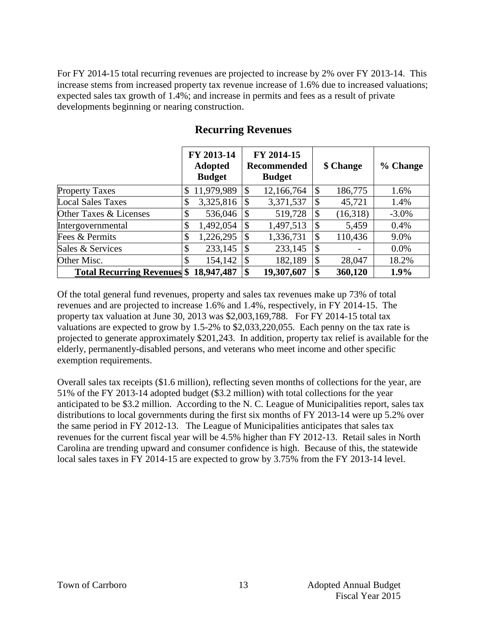For FY 2014-15 total recurring revenues are projected to increase by 2% over FY 2013-14. This increase stems from increased property tax revenue increase of 1.6% due to increased valuations; expected sales tax growth of 1.4%; and increase in permits and fees as a result of private developments beginning or nearing construction.

|                                       | FY 2013-14<br><b>Adopted</b><br><b>Budget</b> | FY 2014-15<br><b>Recommended</b><br><b>Budget</b> |            | \$ Change                 |          | % Change |
|---------------------------------------|-----------------------------------------------|---------------------------------------------------|------------|---------------------------|----------|----------|
| Property Taxes                        | \$<br>11,979,989                              | $\boldsymbol{\mathsf{S}}$                         | 12,166,764 | $\boldsymbol{\mathsf{S}}$ | 186,775  | 1.6%     |
| <b>Local Sales Taxes</b>              | \$<br>3,325,816                               | \$                                                | 3,371,537  | $\boldsymbol{\mathsf{S}}$ | 45,721   | 1.4%     |
| Other Taxes & Licenses                | \$<br>536,046                                 | $\mathcal{S}$                                     | 519,728    | $\boldsymbol{\mathsf{S}}$ | (16,318) | $-3.0\%$ |
| Intergovernmental                     | \$<br>1,492,054                               | $\boldsymbol{\mathsf{S}}$                         | 1,497,513  | $\boldsymbol{\mathsf{S}}$ | 5,459    | 0.4%     |
| Fees & Permits                        | \$<br>1,226,295                               | $\boldsymbol{\mathsf{S}}$                         | 1,336,731  | $\boldsymbol{\mathsf{S}}$ | 110,436  | 9.0%     |
| Sales & Services                      | \$<br>233,145                                 | $\boldsymbol{\mathsf{S}}$                         | 233,145    | $\boldsymbol{\mathsf{S}}$ |          | $0.0\%$  |
| Other Misc.                           | \$<br>154,142                                 | \$                                                | 182,189    | $\boldsymbol{\mathsf{S}}$ | 28,047   | 18.2%    |
| Total Recurring Revenues \$18,947,487 |                                               | \$                                                | 19,307,607 | \$                        | 360,120  | 1.9%     |

# **Recurring Revenues**

Of the total general fund revenues, property and sales tax revenues make up 73% of total revenues and are projected to increase 1.6% and 1.4%, respectively, in FY 2014-15. The property tax valuation at June 30, 2013 was \$2,003,169,788. For FY 2014-15 total tax valuations are expected to grow by 1.5-2% to \$2,033,220,055. Each penny on the tax rate is projected to generate approximately \$201,243. In addition, property tax relief is available for the elderly, permanently-disabled persons, and veterans who meet income and other specific exemption requirements.

Overall sales tax receipts (\$1.6 million), reflecting seven months of collections for the year, are 51% of the FY 2013-14 adopted budget (\$3.2 million) with total collections for the year anticipated to be \$3.2 million. According to the N. C. League of Municipalities report, sales tax distributions to local governments during the first six months of FY 2013-14 were up 5.2% over the same period in FY 2012-13. The League of Municipalities anticipates that sales tax revenues for the current fiscal year will be 4.5% higher than FY 2012-13. Retail sales in North Carolina are trending upward and consumer confidence is high. Because of this, the statewide local sales taxes in FY 2014-15 are expected to grow by 3.75% from the FY 2013-14 level.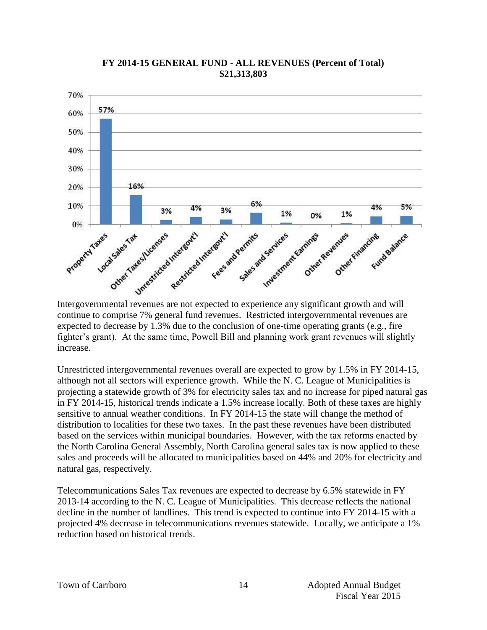

#### **FY 2014-15 GENERAL FUND - ALL REVENUES (Percent of Total) \$21,313,803**

Intergovernmental revenues are not expected to experience any significant growth and will continue to comprise 7% general fund revenues. Restricted intergovernmental revenues are expected to decrease by 1.3% due to the conclusion of one-time operating grants (e.g., fire fighter's grant). At the same time, Powell Bill and planning work grant revenues will slightly increase.

Unrestricted intergovernmental revenues overall are expected to grow by 1.5% in FY 2014-15, although not all sectors will experience growth. While the N. C. League of Municipalities is projecting a statewide growth of 3% for electricity sales tax and no increase for piped natural gas in FY 2014-15, historical trends indicate a 1.5% increase locally. Both of these taxes are highly sensitive to annual weather conditions. In FY 2014-15 the state will change the method of distribution to localities for these two taxes. In the past these revenues have been distributed based on the services within municipal boundaries. However, with the tax reforms enacted by the North Carolina General Assembly, North Carolina general sales tax is now applied to these sales and proceeds will be allocated to municipalities based on 44% and 20% for electricity and natural gas, respectively.

Telecommunications Sales Tax revenues are expected to decrease by 6.5% statewide in FY 2013-14 according to the N. C. League of Municipalities. This decrease reflects the national decline in the number of landlines. This trend is expected to continue into FY 2014-15 with a projected 4% decrease in telecommunications revenues statewide. Locally, we anticipate a 1% reduction based on historical trends.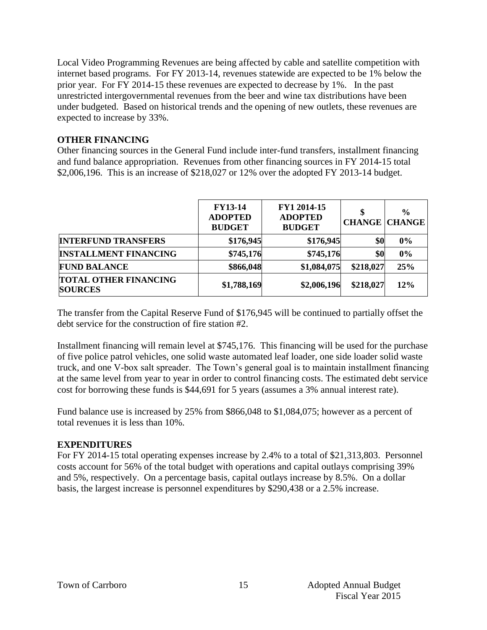Local Video Programming Revenues are being affected by cable and satellite competition with internet based programs. For FY 2013-14, revenues statewide are expected to be 1% below the prior year. For FY 2014-15 these revenues are expected to decrease by 1%. In the past unrestricted intergovernmental revenues from the beer and wine tax distributions have been under budgeted. Based on historical trends and the opening of new outlets, these revenues are expected to increase by 33%.

#### **OTHER FINANCING**

Other financing sources in the General Fund include inter-fund transfers, installment financing and fund balance appropriation. Revenues from other financing sources in FY 2014-15 total \$2,006,196. This is an increase of \$218,027 or 12% over the adopted FY 2013-14 budget.

|                                                | <b>FY13-14</b><br><b>ADOPTED</b><br><b>BUDGET</b> | FY1 2014-15<br><b>ADOPTED</b><br><b>BUDGET</b> | \$        | $\frac{0}{0}$<br><b>CHANGE CHANGE</b> |
|------------------------------------------------|---------------------------------------------------|------------------------------------------------|-----------|---------------------------------------|
| <b>INTERFUND TRANSFERS</b>                     | \$176,945                                         | \$176,945                                      | \$0       | 0%                                    |
| <b>INSTALLMENT FINANCING</b>                   | \$745,176                                         | \$745,176                                      | \$0       | 0%                                    |
| <b>FUND BALANCE</b>                            | \$866,048                                         | \$1,084,075                                    | \$218,027 | 25%                                   |
| <b>TOTAL OTHER FINANCING</b><br><b>SOURCES</b> | \$1,788,169                                       | \$2,006,196                                    | \$218,027 | 12%                                   |

The transfer from the Capital Reserve Fund of \$176,945 will be continued to partially offset the debt service for the construction of fire station #2.

Installment financing will remain level at \$745,176. This financing will be used for the purchase of five police patrol vehicles, one solid waste automated leaf loader, one side loader solid waste truck, and one V-box salt spreader. The Town's general goal is to maintain installment financing at the same level from year to year in order to control financing costs. The estimated debt service cost for borrowing these funds is \$44,691 for 5 years (assumes a 3% annual interest rate).

Fund balance use is increased by 25% from \$866,048 to \$1,084,075; however as a percent of total revenues it is less than 10%.

#### **EXPENDITURES**

For FY 2014-15 total operating expenses increase by 2.4% to a total of \$21,313,803. Personnel costs account for 56% of the total budget with operations and capital outlays comprising 39% and 5%, respectively. On a percentage basis, capital outlays increase by 8.5%. On a dollar basis, the largest increase is personnel expenditures by \$290,438 or a 2.5% increase.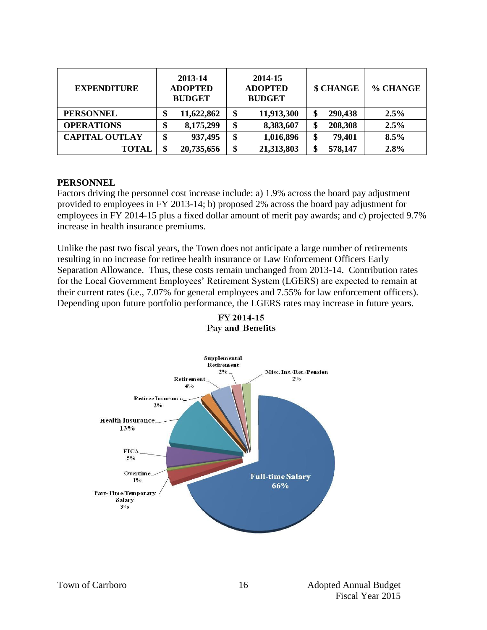| <b>EXPENDITURE</b>    | 2013-14<br><b>ADOPTED</b><br><b>BUDGET</b> | 2014-15<br><b>ADOPTED</b><br><b>BUDGET</b> | \$ CHANGE     | % CHANGE |
|-----------------------|--------------------------------------------|--------------------------------------------|---------------|----------|
| <b>PERSONNEL</b>      | 11,622,862<br>¢<br>Φ                       | 11,913,300<br>\$                           | 290,438<br>\$ | 2.5%     |
| <b>OPERATIONS</b>     | 8,175,299<br>œ<br>Φ                        | \$<br>8,383,607                            | 208,308<br>\$ | 2.5%     |
| <b>CAPITAL OUTLAY</b> | 937,495<br>¢                               | 1,016,896<br>\$                            | \$<br>79,401  | 8.5%     |
| <b>TOTAL</b>          | \$<br>20,735,656                           | 21,313,803<br>\$                           | \$<br>578,147 | 2.8%     |

#### **PERSONNEL**

Factors driving the personnel cost increase include: a) 1.9% across the board pay adjustment provided to employees in FY 2013-14; b) proposed 2% across the board pay adjustment for employees in FY 2014-15 plus a fixed dollar amount of merit pay awards; and c) projected 9.7% increase in health insurance premiums.

Unlike the past two fiscal years, the Town does not anticipate a large number of retirements resulting in no increase for retiree health insurance or Law Enforcement Officers Early Separation Allowance. Thus, these costs remain unchanged from 2013-14. Contribution rates for the Local Government Employees' Retirement System (LGERS) are expected to remain at their current rates (i.e., 7.07% for general employees and 7.55% for law enforcement officers). Depending upon future portfolio performance, the LGERS rates may increase in future years.



FY 2014-15 Pay and Benefits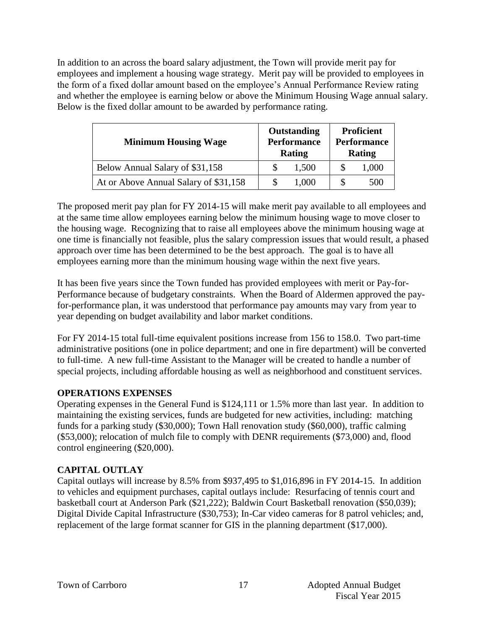In addition to an across the board salary adjustment, the Town will provide merit pay for employees and implement a housing wage strategy. Merit pay will be provided to employees in the form of a fixed dollar amount based on the employee's Annual Performance Review rating and whether the employee is earning below or above the Minimum Housing Wage annual salary. Below is the fixed dollar amount to be awarded by performance rating.

| <b>Minimum Housing Wage</b>           | Outstanding<br><b>Performance</b><br>Rating | Proficient<br><b>Performance</b><br>Rating |       |  |
|---------------------------------------|---------------------------------------------|--------------------------------------------|-------|--|
| Below Annual Salary of \$31,158       | 1,500                                       | -S                                         | 1,000 |  |
| At or Above Annual Salary of \$31,158 | 1,000                                       |                                            | 500   |  |

The proposed merit pay plan for FY 2014-15 will make merit pay available to all employees and at the same time allow employees earning below the minimum housing wage to move closer to the housing wage. Recognizing that to raise all employees above the minimum housing wage at one time is financially not feasible, plus the salary compression issues that would result, a phased approach over time has been determined to be the best approach. The goal is to have all employees earning more than the minimum housing wage within the next five years.

It has been five years since the Town funded has provided employees with merit or Pay-for-Performance because of budgetary constraints. When the Board of Aldermen approved the payfor-performance plan, it was understood that performance pay amounts may vary from year to year depending on budget availability and labor market conditions.

For FY 2014-15 total full-time equivalent positions increase from 156 to 158.0. Two part-time administrative positions (one in police department; and one in fire department) will be converted to full-time. A new full-time Assistant to the Manager will be created to handle a number of special projects, including affordable housing as well as neighborhood and constituent services.

#### **OPERATIONS EXPENSES**

Operating expenses in the General Fund is \$124,111 or 1.5% more than last year. In addition to maintaining the existing services, funds are budgeted for new activities, including: matching funds for a parking study (\$30,000); Town Hall renovation study (\$60,000), traffic calming (\$53,000); relocation of mulch file to comply with DENR requirements (\$73,000) and, flood control engineering (\$20,000).

## **CAPITAL OUTLAY**

Capital outlays will increase by 8.5% from \$937,495 to \$1,016,896 in FY 2014-15. In addition to vehicles and equipment purchases, capital outlays include: Resurfacing of tennis court and basketball court at Anderson Park (\$21,222); Baldwin Court Basketball renovation (\$50,039); Digital Divide Capital Infrastructure (\$30,753); In-Car video cameras for 8 patrol vehicles; and, replacement of the large format scanner for GIS in the planning department (\$17,000).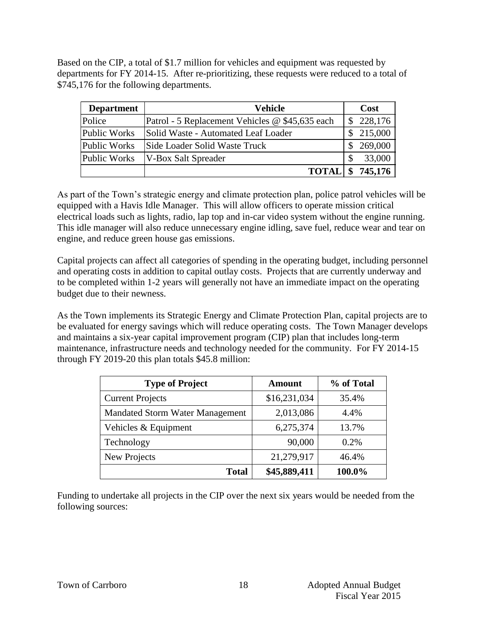Based on the CIP, a total of \$1.7 million for vehicles and equipment was requested by departments for FY 2014-15. After re-prioritizing, these requests were reduced to a total of \$745,176 for the following departments.

| <b>Department</b> | Vehicle                                         | Cost          |
|-------------------|-------------------------------------------------|---------------|
| Police            | Patrol - 5 Replacement Vehicles @ \$45,635 each | \$228,176     |
| Public Works      | Solid Waste - Automated Leaf Loader             | 215,000       |
| Public Works      | Side Loader Solid Waste Truck                   | 269,000       |
| Public Works      | <b>V-Box Salt Spreader</b>                      | 33,000        |
|                   | <b>TOTAL</b>                                    | 745,176<br>\$ |

As part of the Town's strategic energy and climate protection plan, police patrol vehicles will be equipped with a Havis Idle Manager. This will allow officers to operate mission critical electrical loads such as lights, radio, lap top and in-car video system without the engine running. This idle manager will also reduce unnecessary engine idling, save fuel, reduce wear and tear on engine, and reduce green house gas emissions.

Capital projects can affect all categories of spending in the operating budget, including personnel and operating costs in addition to capital outlay costs. Projects that are currently underway and to be completed within 1-2 years will generally not have an immediate impact on the operating budget due to their newness.

As the Town implements its Strategic Energy and Climate Protection Plan, capital projects are to be evaluated for energy savings which will reduce operating costs. The Town Manager develops and maintains a six-year capital improvement program (CIP) plan that includes long-term maintenance, infrastructure needs and technology needed for the community. For FY 2014-15 through FY 2019-20 this plan totals \$45.8 million:

| <b>Type of Project</b>                 | <b>Amount</b> | % of Total |
|----------------------------------------|---------------|------------|
| <b>Current Projects</b>                | \$16,231,034  | 35.4%      |
| <b>Mandated Storm Water Management</b> | 2,013,086     | 4.4%       |
| Vehicles & Equipment                   | 6,275,374     | 13.7%      |
| Technology                             | 90,000        | 0.2%       |
| New Projects                           | 21,279,917    | 46.4%      |
| <b>Total</b>                           | \$45,889,411  | 100.0%     |

Funding to undertake all projects in the CIP over the next six years would be needed from the following sources: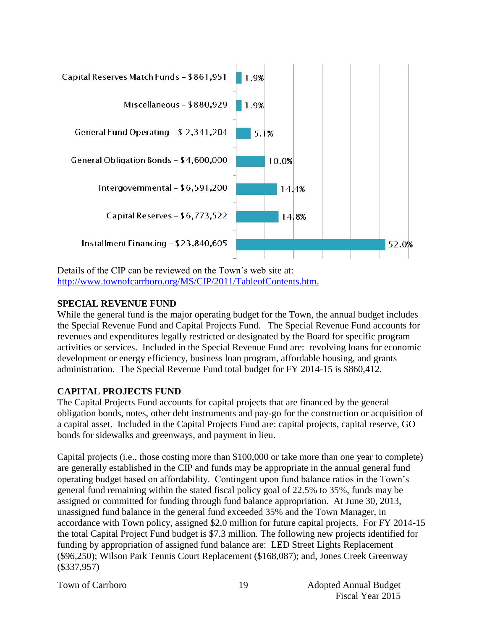

Details of the CIP can be reviewed on the Town's web site at: [http://www.townofcarrboro.org/MS/CIP/2011/TableofContents.htm.](http://www.townofcarrboro.org/MS/CIP/2011/TableofContents.htm)

#### **SPECIAL REVENUE FUND**

While the general fund is the major operating budget for the Town, the annual budget includes the Special Revenue Fund and Capital Projects Fund. The Special Revenue Fund accounts for revenues and expenditures legally restricted or designated by the Board for specific program activities or services. Included in the Special Revenue Fund are: revolving loans for economic development or energy efficiency, business loan program, affordable housing, and grants administration. The Special Revenue Fund total budget for FY 2014-15 is \$860,412.

#### **CAPITAL PROJECTS FUND**

The Capital Projects Fund accounts for capital projects that are financed by the general obligation bonds, notes, other debt instruments and pay-go for the construction or acquisition of a capital asset. Included in the Capital Projects Fund are: capital projects, capital reserve, GO bonds for sidewalks and greenways, and payment in lieu.

Capital projects (i.e., those costing more than \$100,000 or take more than one year to complete) are generally established in the CIP and funds may be appropriate in the annual general fund operating budget based on affordability. Contingent upon fund balance ratios in the Town's general fund remaining within the stated fiscal policy goal of 22.5% to 35%, funds may be assigned or committed for funding through fund balance appropriation. At June 30, 2013, unassigned fund balance in the general fund exceeded 35% and the Town Manager, in accordance with Town policy, assigned \$2.0 million for future capital projects. For FY 2014-15 the total Capital Project Fund budget is \$7.3 million. The following new projects identified for funding by appropriation of assigned fund balance are: LED Street Lights Replacement (\$96,250); Wilson Park Tennis Court Replacement (\$168,087); and, Jones Creek Greenway (\$337,957)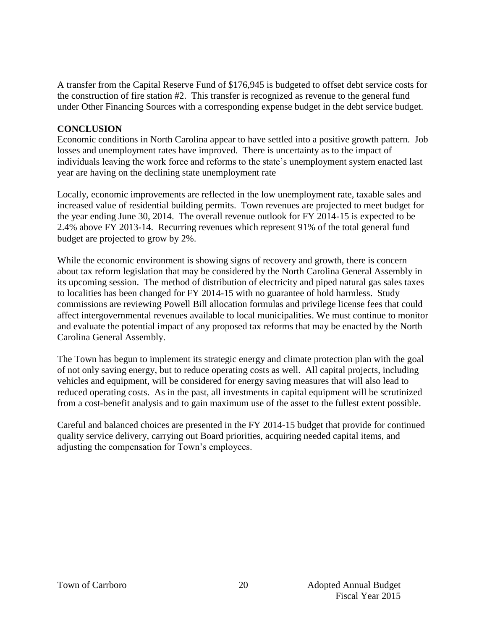A transfer from the Capital Reserve Fund of \$176,945 is budgeted to offset debt service costs for the construction of fire station #2. This transfer is recognized as revenue to the general fund under Other Financing Sources with a corresponding expense budget in the debt service budget.

#### **CONCLUSION**

Economic conditions in North Carolina appear to have settled into a positive growth pattern. Job losses and unemployment rates have improved. There is uncertainty as to the impact of individuals leaving the work force and reforms to the state's unemployment system enacted last year are having on the declining state unemployment rate

Locally, economic improvements are reflected in the low unemployment rate, taxable sales and increased value of residential building permits. Town revenues are projected to meet budget for the year ending June 30, 2014. The overall revenue outlook for FY 2014-15 is expected to be 2.4% above FY 2013-14. Recurring revenues which represent 91% of the total general fund budget are projected to grow by 2%.

While the economic environment is showing signs of recovery and growth, there is concern about tax reform legislation that may be considered by the North Carolina General Assembly in its upcoming session. The method of distribution of electricity and piped natural gas sales taxes to localities has been changed for FY 2014-15 with no guarantee of hold harmless. Study commissions are reviewing Powell Bill allocation formulas and privilege license fees that could affect intergovernmental revenues available to local municipalities. We must continue to monitor and evaluate the potential impact of any proposed tax reforms that may be enacted by the North Carolina General Assembly.

The Town has begun to implement its strategic energy and climate protection plan with the goal of not only saving energy, but to reduce operating costs as well. All capital projects, including vehicles and equipment, will be considered for energy saving measures that will also lead to reduced operating costs. As in the past, all investments in capital equipment will be scrutinized from a cost-benefit analysis and to gain maximum use of the asset to the fullest extent possible.

Careful and balanced choices are presented in the FY 2014-15 budget that provide for continued quality service delivery, carrying out Board priorities, acquiring needed capital items, and adjusting the compensation for Town's employees.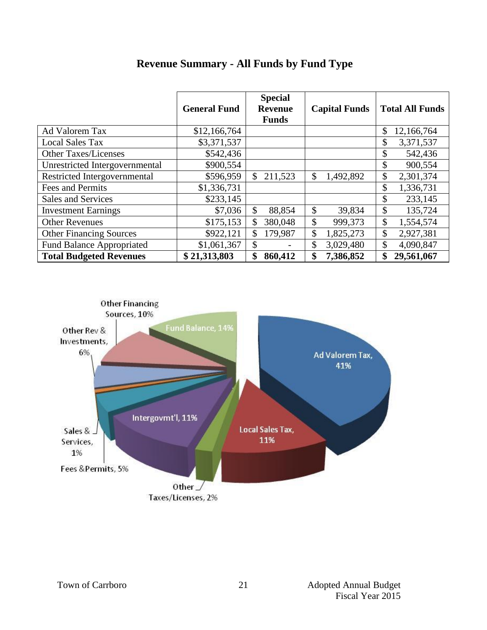|                                  | <b>General Fund</b> | <b>Special</b><br><b>Revenue</b><br><b>Funds</b> | <b>Capital Funds</b> | <b>Total All Funds</b> |
|----------------------------------|---------------------|--------------------------------------------------|----------------------|------------------------|
| Ad Valorem Tax                   | \$12,166,764        |                                                  |                      | \$<br>12,166,764       |
| <b>Local Sales Tax</b>           | \$3,371,537         |                                                  |                      | \$<br>3,371,537        |
| <b>Other Taxes/Licenses</b>      | \$542,436           |                                                  |                      | \$<br>542,436          |
| Unrestricted Intergovernmental   | \$900,554           |                                                  |                      | \$<br>900,554          |
| Restricted Intergovernmental     | \$596,959           | $\mathcal{S}$<br>211,523                         | \$<br>1,492,892      | \$<br>2,301,374        |
| Fees and Permits                 | \$1,336,731         |                                                  |                      | \$<br>1,336,731        |
| Sales and Services               | \$233,145           |                                                  |                      | \$<br>233,145          |
| <b>Investment Earnings</b>       | \$7,036             | \$<br>88,854                                     | \$<br>39,834         | \$<br>135,724          |
| <b>Other Revenues</b>            | \$175,153           | \$<br>380,048                                    | \$<br>999,373        | \$<br>1,554,574        |
| <b>Other Financing Sources</b>   | \$922,121           | \$<br>179,987                                    | \$<br>1,825,273      | \$<br>2,927,381        |
| <b>Fund Balance Appropriated</b> | \$1,061,367         | \$                                               | \$<br>3,029,480      | \$<br>4,090,847        |
| <b>Total Budgeted Revenues</b>   | \$21,313,803        | \$<br>860,412                                    | \$<br>7,386,852      | 29,561,067<br>\$       |

# **Revenue Summary - All Funds by Fund Type**

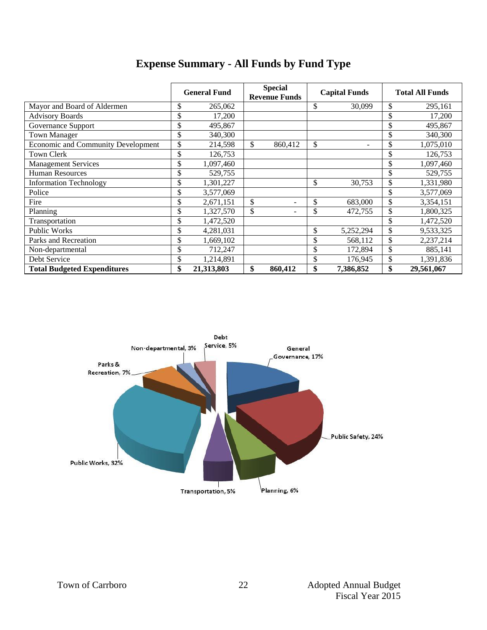|                                           | <b>General Fund</b> | <b>Special</b><br><b>Revenue Funds</b> | <b>Capital Funds</b> |                          | <b>Total All Funds</b> |            |
|-------------------------------------------|---------------------|----------------------------------------|----------------------|--------------------------|------------------------|------------|
| Mayor and Board of Aldermen               | \$<br>265,062       |                                        | \$                   | 30,099                   | \$                     | 295,161    |
| <b>Advisory Boards</b>                    | \$<br>17,200        |                                        |                      |                          | \$                     | 17,200     |
| Governance Support                        | \$<br>495,867       |                                        |                      |                          | \$                     | 495,867    |
| <b>Town Manager</b>                       | \$<br>340,300       |                                        |                      |                          | \$                     | 340,300    |
| <b>Economic and Community Development</b> | \$<br>214,598       | \$<br>860,412                          | \$                   | $\overline{\phantom{a}}$ | \$                     | 1,075,010  |
| Town Clerk                                | \$<br>126,753       |                                        |                      |                          | \$                     | 126,753    |
| <b>Management Services</b>                | \$<br>1,097,460     |                                        |                      |                          | \$                     | 1,097,460  |
| <b>Human Resources</b>                    | \$<br>529,755       |                                        |                      |                          | \$                     | 529,755    |
| <b>Information Technology</b>             | \$<br>1,301,227     |                                        | \$                   | 30,753                   | \$                     | 1,331,980  |
| Police                                    | \$<br>3,577,069     |                                        |                      |                          | \$                     | 3,577,069  |
| Fire                                      | \$<br>2,671,151     | \$<br>۰                                | \$                   | 683,000                  | \$                     | 3,354,151  |
| Planning                                  | \$<br>1,327,570     | \$<br>۰                                | \$                   | 472,755                  | \$                     | 1,800,325  |
| Transportation                            | \$<br>1,472,520     |                                        |                      |                          | \$                     | 1,472,520  |
| Public Works                              | \$<br>4,281,031     |                                        | \$                   | 5,252,294                | \$                     | 9,533,325  |
| Parks and Recreation                      | \$<br>1,669,102     |                                        | \$                   | 568,112                  | \$                     | 2,237,214  |
| Non-departmental                          | \$<br>712,247       |                                        | \$                   | 172,894                  | \$                     | 885,141    |
| Debt Service                              | \$<br>1,214,891     |                                        | \$                   | 176,945                  | \$                     | 1,391,836  |
| <b>Total Budgeted Expenditures</b>        | \$<br>21,313,803    | \$<br>860,412                          | \$                   | 7,386,852                | \$                     | 29,561,067 |

# **Expense Summary - All Funds by Fund Type**

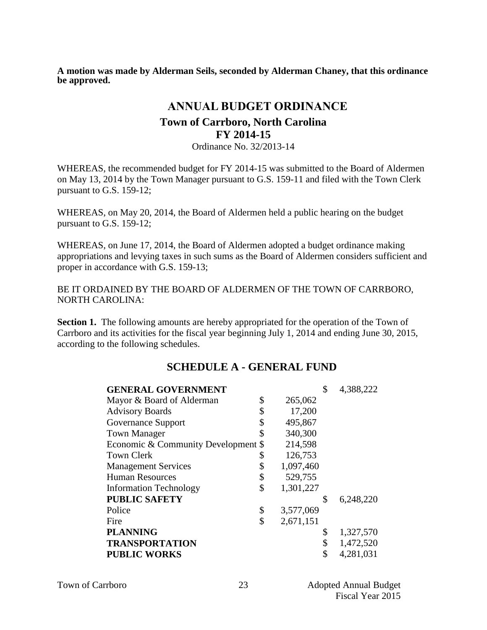**A motion was made by Alderman Seils, seconded by Alderman Chaney, that this ordinance be approved.** 

# **ANNUAL BUDGET ORDINANCE**

# **Town of Carrboro, North Carolina FY 2014-15**

Ordinance No. 32/2013-14

WHEREAS, the recommended budget for FY 2014-15 was submitted to the Board of Aldermen on May 13, 2014 by the Town Manager pursuant to G.S. 159-11 and filed with the Town Clerk pursuant to G.S. 159-12;

WHEREAS, on May 20, 2014, the Board of Aldermen held a public hearing on the budget pursuant to G.S. 159-12;

WHEREAS, on June 17, 2014, the Board of Aldermen adopted a budget ordinance making appropriations and levying taxes in such sums as the Board of Aldermen considers sufficient and proper in accordance with G.S. 159-13;

BE IT ORDAINED BY THE BOARD OF ALDERMEN OF THE TOWN OF CARRBORO, NORTH CAROLINA:

**Section 1.** The following amounts are hereby appropriated for the operation of the Town of Carrboro and its activities for the fiscal year beginning July 1, 2014 and ending June 30, 2015, according to the following schedules.

# **SCHEDULE A - GENERAL FUND**

| <b>GENERAL GOVERNMENT</b>           |                 | \$<br>4,388,222 |
|-------------------------------------|-----------------|-----------------|
| Mayor & Board of Alderman           | \$<br>265,062   |                 |
| <b>Advisory Boards</b>              | \$<br>17,200    |                 |
| Governance Support                  | \$<br>495,867   |                 |
| <b>Town Manager</b>                 | \$<br>340,300   |                 |
| Economic & Community Development \$ | 214,598         |                 |
| <b>Town Clerk</b>                   | \$<br>126,753   |                 |
| <b>Management Services</b>          | \$<br>1,097,460 |                 |
| <b>Human Resources</b>              | \$<br>529,755   |                 |
| <b>Information Technology</b>       | \$<br>1,301,227 |                 |
| <b>PUBLIC SAFETY</b>                |                 | \$<br>6,248,220 |
| Police                              | \$<br>3,577,069 |                 |
| Fire                                | \$<br>2,671,151 |                 |
| <b>PLANNING</b>                     |                 | \$<br>1,327,570 |
| <b>TRANSPORTATION</b>               |                 | \$<br>1,472,520 |
| <b>PUBLIC WORKS</b>                 |                 | \$<br>4,281,031 |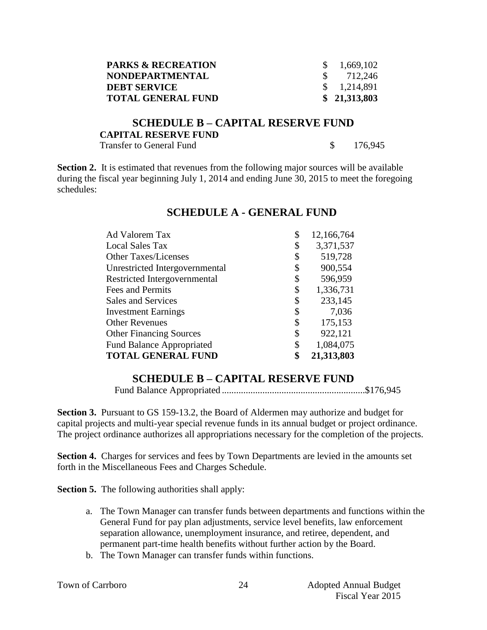| <b>PARKS &amp; RECREATION</b> | $\frac{\$}{0.669,102}$ |
|-------------------------------|------------------------|
| <b>NONDEPARTMENTAL</b>        | $\frac{\$}{212,246}$   |
| <b>DEBT SERVICE</b>           | $\frac{1,214,891}{2}$  |
| <b>TOTAL GENERAL FUND</b>     | \$21,313,803           |

#### **SCHEDULE B – CAPITAL RESERVE FUND CAPITAL RESERVE FUND** Transfer to General Fund  $\qquad \qquad$  \$ 176,945

**Section 2.** It is estimated that revenues from the following major sources will be available during the fiscal year beginning July 1, 2014 and ending June 30, 2015 to meet the foregoing schedules:

| Ad Valorem Tax                   | \$<br>12,166,764 |
|----------------------------------|------------------|
| <b>Local Sales Tax</b>           | \$<br>3,371,537  |
| <b>Other Taxes/Licenses</b>      | \$<br>519,728    |
| Unrestricted Intergovernmental   | \$<br>900,554    |
| Restricted Intergovernmental     | \$<br>596,959    |
| Fees and Permits                 | \$<br>1,336,731  |
| Sales and Services               | \$<br>233,145    |
| <b>Investment Earnings</b>       | \$<br>7,036      |
| <b>Other Revenues</b>            | \$<br>175,153    |
| <b>Other Financing Sources</b>   | \$<br>922,121    |
| <b>Fund Balance Appropriated</b> | \$<br>1,084,075  |
| <b>TOTAL GENERAL FUND</b>        | 21,313,803       |

#### **SCHEDULE A - GENERAL FUND**

## **SCHEDULE B – CAPITAL RESERVE FUND**

Fund Balance Appropriated ............................................................\$176,945

**Section 3.** Pursuant to GS 159-13.2, the Board of Aldermen may authorize and budget for capital projects and multi-year special revenue funds in its annual budget or project ordinance. The project ordinance authorizes all appropriations necessary for the completion of the projects.

**Section 4.** Charges for services and fees by Town Departments are levied in the amounts set forth in the Miscellaneous Fees and Charges Schedule.

**Section 5.** The following authorities shall apply:

- a. The Town Manager can transfer funds between departments and functions within the General Fund for pay plan adjustments, service level benefits, law enforcement separation allowance, unemployment insurance, and retiree, dependent, and permanent part-time health benefits without further action by the Board.
- b. The Town Manager can transfer funds within functions.